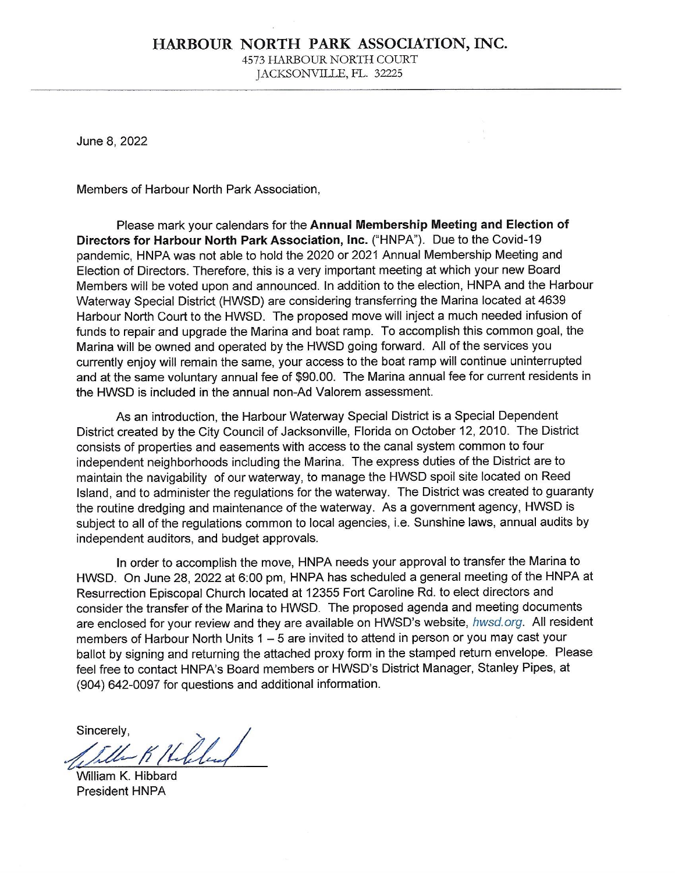#### HARBOUR NORTH PARK ASSOCIATION, INC. 4573 HARBOUR NORTH COURT JACKSONVILLE, FL. 32225

June 8, 2022

Members of Harbour North Park Association,

Please mark your calendars for the Annual Membership Meeting and Election of Directors for Harbour North Park Association, Inc. ("HNPA"). Due to the Covid-19 pandemic, HNPA was not able to hold the 2020 or 2021 Annual Membership Meeting and Election of Directors. Therefore, this is a very important meeting at which your new Board Members will be voted upon and announced. In addition to the election, HNPA and the Harbour Waterway Special District (HWSD) are considering transferring the Marina located at 4639 Harbour North Court to the HWSD. The proposed move will inject a much needed infusion of funds to repair and upgrade the Marina and boat ramp. To accomplish this common goal, the Marina will be owned and operated by the HWSD going forward. All of the services you currently enjoy will remain the same, your access to the boat ramp will continue uninterrupted and at the same voluntary annual fee of \$90.00. The Marina annual fee for current residents in the HWSD is included in the annual non-Ad Valorem assessment.

As an introduction, the Harbour Waterway Special District is a Special Dependent District created by the City Council of Jacksonville, Florida on October 12, 2010. The District consists of properties and easements with access to the canal system common to four independent neighborhoods including the Marina. The express duties of the District are to maintain the navigability of our waterway, to manage the HWSD spoil site located on Reed Island, and to administer the regulations for the waterway. The District was created to quaranty the routine dredging and maintenance of the waterway. As a government agency, HWSD is subject to all of the regulations common to local agencies, i.e. Sunshine laws, annual audits by independent auditors, and budget approvals.

In order to accomplish the move, HNPA needs your approval to transfer the Marina to HWSD. On June 28, 2022 at 6:00 pm, HNPA has scheduled a general meeting of the HNPA at Resurrection Episcopal Church located at 12355 Fort Caroline Rd. to elect directors and consider the transfer of the Marina to HWSD. The proposed agenda and meeting documents are enclosed for your review and they are available on HWSD's website, hwsd.org. All resident members of Harbour North Units 1 - 5 are invited to attend in person or you may cast your ballot by signing and returning the attached proxy form in the stamped return envelope. Please feel free to contact HNPA's Board members or HWSD's District Manager, Stanley Pipes, at (904) 642-0097 for questions and additional information.

Sincerely. Tiller K Hilled

William K. Hibbard President HNPA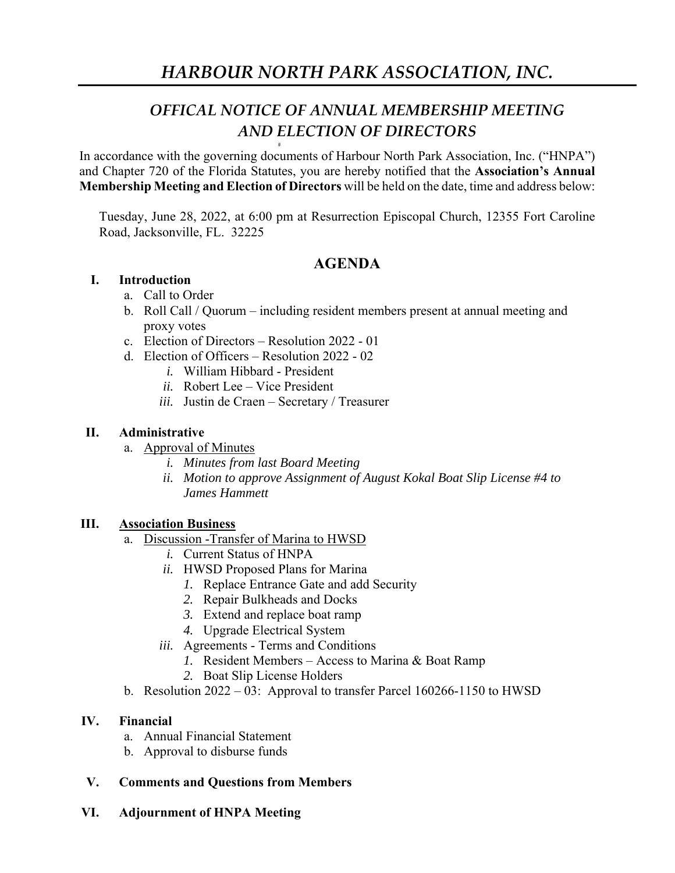# *OFFICAL NOTICE OF ANNUAL MEMBERSHIP MEETING AND ELECTION OF DIRECTORS*

In accordance with the governing documents of Harbour North Park Association, Inc. ("HNPA") and Chapter 720 of the Florida Statutes, you are hereby notified that the **Association's Annual Membership Meeting and Election of Directors** will be held on the date, time and address below:

Tuesday, June 28, 2022, at 6:00 pm at Resurrection Episcopal Church, 12355 Fort Caroline Road, Jacksonville, FL. 32225

# **AGENDA**

# **I. Introduction**

- a. Call to Order
- b. Roll Call / Quorum including resident members present at annual meeting and proxy votes
- c. Election of Directors Resolution 2022 01
- d. Election of Officers Resolution 2022 02
	- *i.* William Hibbard President
	- *ii.* Robert Lee Vice President
	- *iii.* Justin de Craen Secretary / Treasurer

Ħ

# **II. Administrative**

- a. Approval of Minutes
	- *i. Minutes from last Board Meeting*
	- *ii. Motion to approve Assignment of August Kokal Boat Slip License #4 to James Hammett*

# **III. Association Business**

- a. Discussion -Transfer of Marina to HWSD
	- *i.* Current Status of HNPA
	- *ii.* HWSD Proposed Plans for Marina
		- *1.* Replace Entrance Gate and add Security
		- *2.* Repair Bulkheads and Docks
		- *3.* Extend and replace boat ramp
		- *4.* Upgrade Electrical System
	- *iii.* Agreements Terms and Conditions
		- *1.* Resident Members Access to Marina & Boat Ramp
		- *2.* Boat Slip License Holders
- b. Resolution 2022 03: Approval to transfer Parcel 160266-1150 to HWSD

### **IV. Financial**

- a. Annual Financial Statement
- b. Approval to disburse funds
- **V. Comments and Questions from Members**
- **VI. Adjournment of HNPA Meeting**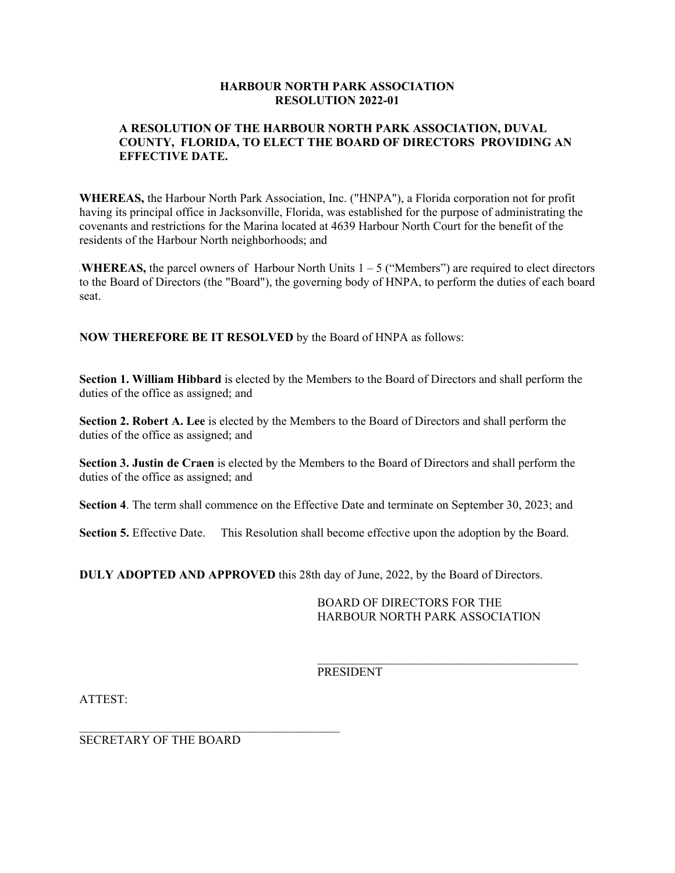#### **HARBOUR NORTH PARK ASSOCIATION RESOLUTION 2022-01**

#### **A RESOLUTION OF THE HARBOUR NORTH PARK ASSOCIATION, DUVAL COUNTY, FLORIDA, TO ELECT THE BOARD OF DIRECTORS PROVIDING AN EFFECTIVE DATE.**

**WHEREAS,** the Harbour North Park Association, Inc. ("HNPA"), a Florida corporation not for profit having its principal office in Jacksonville, Florida, was established for the purpose of administrating the covenants and restrictions for the Marina located at 4639 Harbour North Court for the benefit of the residents of the Harbour North neighborhoods; and

**WHEREAS,** the parcel owners of Harbour North Units  $1 - 5$  ("Members") are required to elect directors to the Board of Directors (the "Board"), the governing body of HNPA, to perform the duties of each board seat.

**NOW THEREFORE BE IT RESOLVED** by the Board of HNPA as follows:

**Section 1. William Hibbard** is elected by the Members to the Board of Directors and shall perform the duties of the office as assigned; and

**Section 2. Robert A. Lee** is elected by the Members to the Board of Directors and shall perform the duties of the office as assigned; and

**Section 3. Justin de Craen** is elected by the Members to the Board of Directors and shall perform the duties of the office as assigned; and

**Section 4**. The term shall commence on the Effective Date and terminate on September 30, 2023; and

**Section 5.** Effective Date. This Resolution shall become effective upon the adoption by the Board.

**DULY ADOPTED AND APPROVED** this 28th day of June, 2022, by the Board of Directors.

 BOARD OF DIRECTORS FOR THE HARBOUR NORTH PARK ASSOCIATION

PRESIDENT

 $\mathcal{L}_\text{max}$  and the contract of the contract of the contract of the contract of the contract of the contract of the contract of the contract of the contract of the contract of the contract of the contract of the contrac

ATTEST:

SECRETARY OF THE BOARD

 $\mathcal{L}_\text{max}$  and the contract of the contract of the contract of the contract of the contract of the contract of the contract of the contract of the contract of the contract of the contract of the contract of the contrac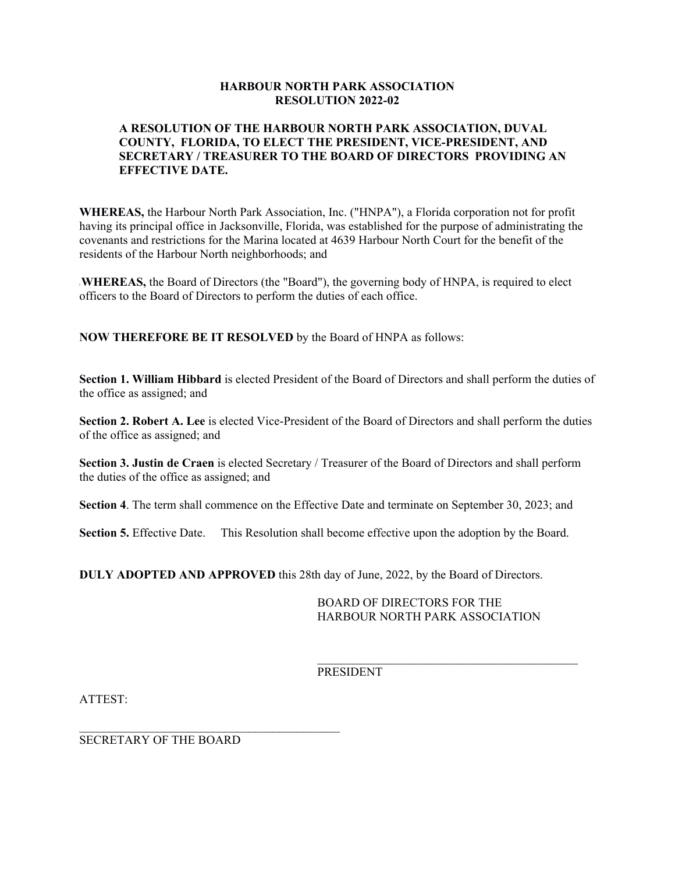#### **HARBOUR NORTH PARK ASSOCIATION RESOLUTION 2022-02**

#### **A RESOLUTION OF THE HARBOUR NORTH PARK ASSOCIATION, DUVAL COUNTY, FLORIDA, TO ELECT THE PRESIDENT, VICE-PRESIDENT, AND SECRETARY / TREASURER TO THE BOARD OF DIRECTORS PROVIDING AN EFFECTIVE DATE.**

**WHEREAS,** the Harbour North Park Association, Inc. ("HNPA"), a Florida corporation not for profit having its principal office in Jacksonville, Florida, was established for the purpose of administrating the covenants and restrictions for the Marina located at 4639 Harbour North Court for the benefit of the residents of the Harbour North neighborhoods; and

**IWHEREAS,** the Board of Directors (the "Board"), the governing body of HNPA, is required to elect officers to the Board of Directors to perform the duties of each office.

**NOW THEREFORE BE IT RESOLVED** by the Board of HNPA as follows:

**Section 1. William Hibbard** is elected President of the Board of Directors and shall perform the duties of the office as assigned; and

**Section 2. Robert A. Lee** is elected Vice-President of the Board of Directors and shall perform the duties of the office as assigned; and

**Section 3. Justin de Craen** is elected Secretary / Treasurer of the Board of Directors and shall perform the duties of the office as assigned; and

**Section 4**. The term shall commence on the Effective Date and terminate on September 30, 2023; and

**Section 5.** Effective Date. This Resolution shall become effective upon the adoption by the Board.

**DULY ADOPTED AND APPROVED** this 28th day of June, 2022, by the Board of Directors.

 BOARD OF DIRECTORS FOR THE HARBOUR NORTH PARK ASSOCIATION

PRESIDENT

 $\mathcal{L}_\text{max}$  and the contract of the contract of the contract of the contract of the contract of the contract of the contract of the contract of the contract of the contract of the contract of the contract of the contrac

ATTEST:

SECRETARY OF THE BOARD

 $\mathcal{L}_\text{max}$  and the contract of the contract of the contract of the contract of the contract of the contract of the contract of the contract of the contract of the contract of the contract of the contract of the contrac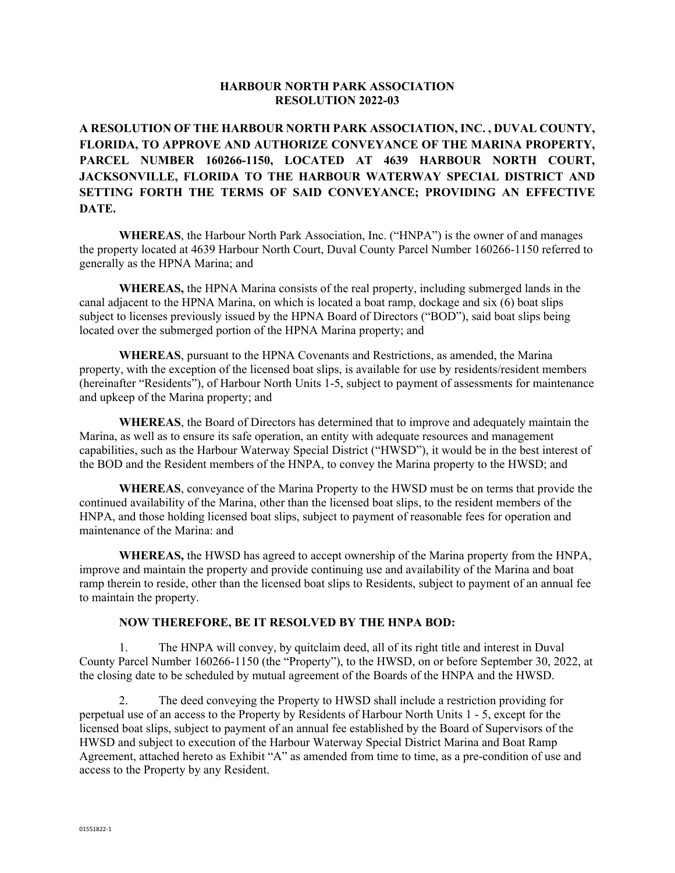#### **HARBOUR NORTH PARK ASSOCIATION RESOLUTION 2022-03**

**A RESOLUTION OF THE HARBOUR NORTH PARK ASSOCIATION, INC. , DUVAL COUNTY, FLORIDA, TO APPROVE AND AUTHORIZE CONVEYANCE OF THE MARINA PROPERTY, PARCEL NUMBER 160266-1150, LOCATED AT 4639 HARBOUR NORTH COURT, JACKSONVILLE, FLORIDA TO THE HARBOUR WATERWAY SPECIAL DISTRICT AND SETTING FORTH THE TERMS OF SAID CONVEYANCE; PROVIDING AN EFFECTIVE DATE.** 

**WHEREAS**, the Harbour North Park Association, Inc. ("HNPA") is the owner of and manages the property located at 4639 Harbour North Court, Duval County Parcel Number 160266-1150 referred to generally as the HPNA Marina; and

**WHEREAS,** the HPNA Marina consists of the real property, including submerged lands in the canal adjacent to the HPNA Marina, on which is located a boat ramp, dockage and six (6) boat slips subject to licenses previously issued by the HPNA Board of Directors ("BOD"), said boat slips being located over the submerged portion of the HPNA Marina property; and

**WHEREAS**, pursuant to the HPNA Covenants and Restrictions, as amended, the Marina property, with the exception of the licensed boat slips, is available for use by residents/resident members (hereinafter "Residents"), of Harbour North Units 1-5, subject to payment of assessments for maintenance and upkeep of the Marina property; and

**WHEREAS**, the Board of Directors has determined that to improve and adequately maintain the Marina, as well as to ensure its safe operation, an entity with adequate resources and management capabilities, such as the Harbour Waterway Special District ("HWSD"), it would be in the best interest of the BOD and the Resident members of the HNPA, to convey the Marina property to the HWSD; and

**WHEREAS**, conveyance of the Marina Property to the HWSD must be on terms that provide the continued availability of the Marina, other than the licensed boat slips, to the resident members of the HNPA, and those holding licensed boat slips, subject to payment of reasonable fees for operation and maintenance of the Marina: and

**WHEREAS,** the HWSD has agreed to accept ownership of the Marina property from the HNPA, improve and maintain the property and provide continuing use and availability of the Marina and boat ramp therein to reside, other than the licensed boat slips to Residents, subject to payment of an annual fee to maintain the property.

#### **NOW THEREFORE, BE IT RESOLVED BY THE HNPA BOD:**

 1. The HNPA will convey, by quitclaim deed, all of its right title and interest in Duval County Parcel Number 160266-1150 (the "Property"), to the HWSD, on or before September 30, 2022, at the closing date to be scheduled by mutual agreement of the Boards of the HNPA and the HWSD.

 2. The deed conveying the Property to HWSD shall include a restriction providing for perpetual use of an access to the Property by Residents of Harbour North Units 1 - 5, except for the licensed boat slips, subject to payment of an annual fee established by the Board of Supervisors of the HWSD and subject to execution of the Harbour Waterway Special District Marina and Boat Ramp Agreement, attached hereto as Exhibit "A" as amended from time to time, as a pre-condition of use and access to the Property by any Resident.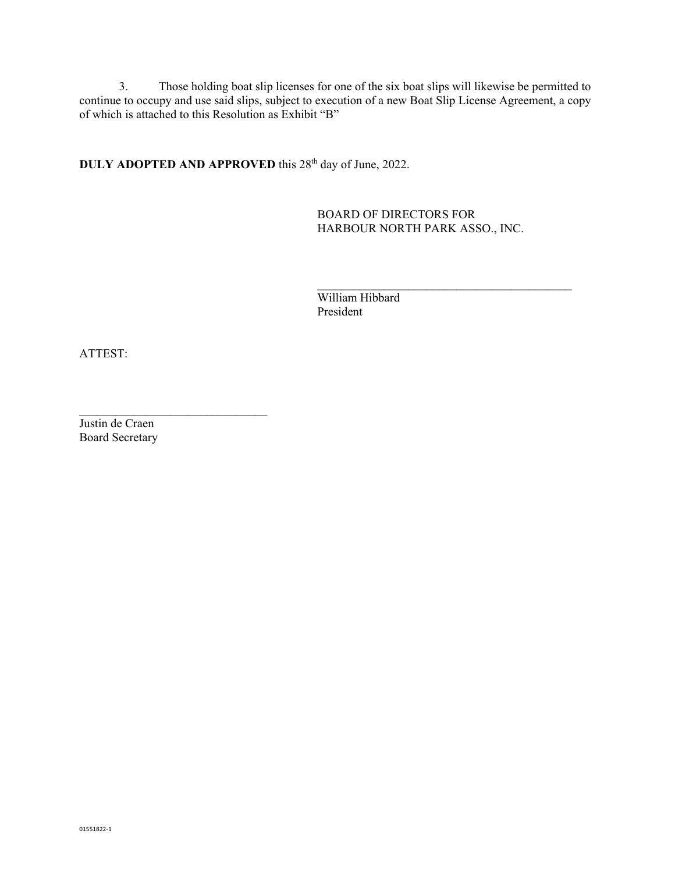3. Those holding boat slip licenses for one of the six boat slips will likewise be permitted to continue to occupy and use said slips, subject to execution of a new Boat Slip License Agreement, a copy of which is attached to this Resolution as Exhibit "B"

**DULY ADOPTED AND APPROVED** this 28<sup>th</sup> day of June, 2022.

 BOARD OF DIRECTORS FOR HARBOUR NORTH PARK ASSO., INC.

 William Hibbard President

 $\mathcal{L}_\mathcal{L} = \{ \mathcal{L}_\mathcal{L} = \{ \mathcal{L}_\mathcal{L} \} \cup \{ \mathcal{L}_\mathcal{L} = \{ \mathcal{L}_\mathcal{L} \} \cup \{ \mathcal{L}_\mathcal{L} = \{ \mathcal{L}_\mathcal{L} \} \cup \{ \mathcal{L}_\mathcal{L} = \{ \mathcal{L}_\mathcal{L} \} \cup \{ \mathcal{L}_\mathcal{L} = \{ \mathcal{L}_\mathcal{L} \} \cup \{ \mathcal{L}_\mathcal{L} = \{ \mathcal{L}_\mathcal{L} \} \cup \{ \mathcal{L}_\$ 

ATTEST:

Justin de Craen Board Secretary

 $\mathcal{L}_\text{max}$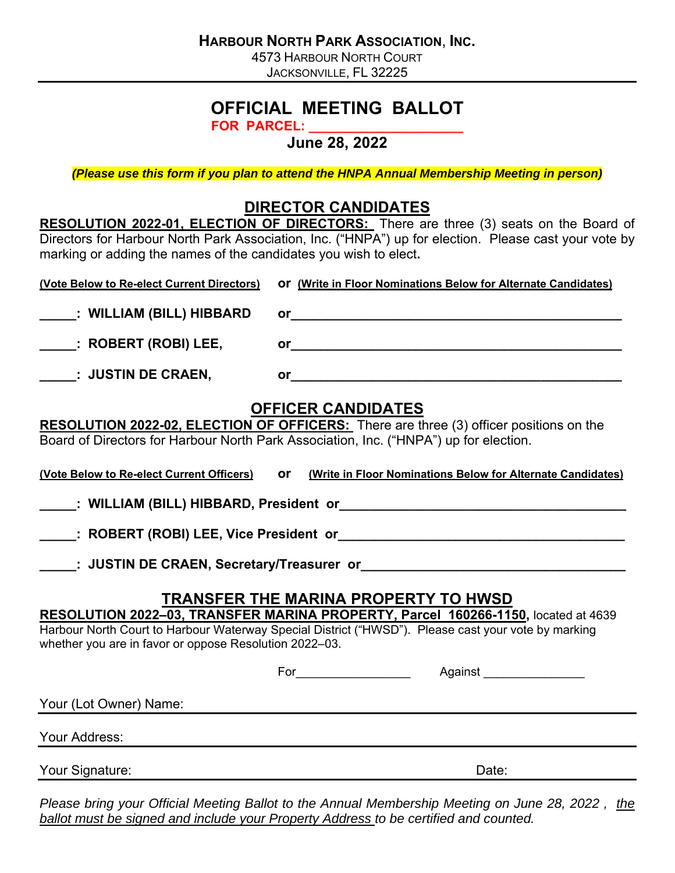4573 HARBOUR NORTH COURT JACKSONVILLE, FL 32225

# **OFFICIAL MEETING BALLOT**

**FOR PARCEL: \_\_\_\_\_\_\_\_\_\_\_\_\_\_\_\_\_\_\_\_\_** 

**June 28, 2022** 

*(Please use this form if you plan to attend the HNPA Annual Membership Meeting in person)* 

# **DIRECTOR CANDIDATES**

|                                                                                                                                                                                                                                                                                                   | <b>RESOLUTION 2022-01, ELECTION OF DIRECTORS:</b> There are three (3) seats on the Board of                                                                                                                                    |  |
|---------------------------------------------------------------------------------------------------------------------------------------------------------------------------------------------------------------------------------------------------------------------------------------------------|--------------------------------------------------------------------------------------------------------------------------------------------------------------------------------------------------------------------------------|--|
| marking or adding the names of the candidates you wish to elect.                                                                                                                                                                                                                                  | Directors for Harbour North Park Association, Inc. ("HNPA") up for election. Please cast your vote by                                                                                                                          |  |
| (Vote Below to Re-elect Current Directors)                                                                                                                                                                                                                                                        | Or (Write in Floor Nominations Below for Alternate Candidates)                                                                                                                                                                 |  |
| : WILLIAM (BILL) HIBBARD                                                                                                                                                                                                                                                                          |                                                                                                                                                                                                                                |  |
| : ROBERT (ROBI) LEE,                                                                                                                                                                                                                                                                              |                                                                                                                                                                                                                                |  |
| <b>Example:</b> JUSTIN DE CRAEN,                                                                                                                                                                                                                                                                  |                                                                                                                                                                                                                                |  |
|                                                                                                                                                                                                                                                                                                   | <b>OFFICER CANDIDATES</b><br>RESOLUTION 2022-02, ELECTION OF OFFICERS: There are three (3) officer positions on the<br>Board of Directors for Harbour North Park Association, Inc. ("HNPA") up for election.                   |  |
| (Vote Below to Re-elect Current Officers)                                                                                                                                                                                                                                                         | <b>or</b> (Write in Floor Nominations Below for Alternate Candidates)                                                                                                                                                          |  |
|                                                                                                                                                                                                                                                                                                   |                                                                                                                                                                                                                                |  |
|                                                                                                                                                                                                                                                                                                   |                                                                                                                                                                                                                                |  |
|                                                                                                                                                                                                                                                                                                   | ______: JUSTIN DE CRAEN, Secretary/Treasurer or_________________________________                                                                                                                                               |  |
| <b>TRANSFER THE MARINA PROPERTY TO HWSD</b><br>RESOLUTION 2022-03, TRANSFER MARINA PROPERTY, Parcel 160266-1150, located at 4639<br>Harbour North Court to Harbour Waterway Special District ("HWSD"). Please cast your vote by marking<br>whether you are in favor or oppose Resolution 2022-03. |                                                                                                                                                                                                                                |  |
|                                                                                                                                                                                                                                                                                                   | For Against And Against Against Against Against Against Against Against Against Against Against Against Against Against Against Against Against Against Against Against Against Against Against Against Against Against Agains |  |
| Your (Lot Owner) Name:                                                                                                                                                                                                                                                                            |                                                                                                                                                                                                                                |  |
| Your Address:                                                                                                                                                                                                                                                                                     |                                                                                                                                                                                                                                |  |
| Your Signature:                                                                                                                                                                                                                                                                                   | Date:                                                                                                                                                                                                                          |  |

*Please bring your Official Meeting Ballot to the Annual Membership Meeting on June 28, 2022 , the ballot must be signed and include your Property Address to be certified and counted.*